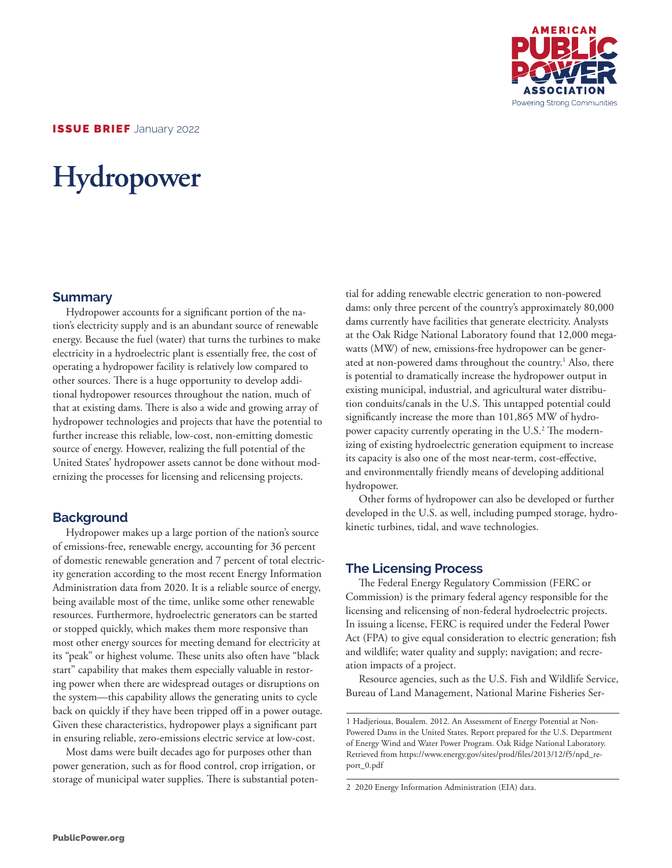

# **Hydropower**

#### **Summary**

Hydropower accounts for a significant portion of the nation's electricity supply and is an abundant source of renewable energy. Because the fuel (water) that turns the turbines to make electricity in a hydroelectric plant is essentially free, the cost of operating a hydropower facility is relatively low compared to other sources. There is a huge opportunity to develop additional hydropower resources throughout the nation, much of that at existing dams. There is also a wide and growing array of hydropower technologies and projects that have the potential to further increase this reliable, low-cost, non-emitting domestic source of energy. However, realizing the full potential of the United States' hydropower assets cannot be done without modernizing the processes for licensing and relicensing projects.

### **Background**

Hydropower makes up a large portion of the nation's source of emissions-free, renewable energy, accounting for 36 percent of domestic renewable generation and 7 percent of total electricity generation according to the most recent Energy Information Administration data from 2020. It is a reliable source of energy, being available most of the time, unlike some other renewable resources. Furthermore, hydroelectric generators can be started or stopped quickly, which makes them more responsive than most other energy sources for meeting demand for electricity at its "peak" or highest volume. These units also often have "black start" capability that makes them especially valuable in restoring power when there are widespread outages or disruptions on the system—this capability allows the generating units to cycle back on quickly if they have been tripped off in a power outage. Given these characteristics, hydropower plays a significant part in ensuring reliable, zero-emissions electric service at low-cost.

Most dams were built decades ago for purposes other than power generation, such as for flood control, crop irrigation, or storage of municipal water supplies. There is substantial potential for adding renewable electric generation to non-powered dams: only three percent of the country's approximately 80,000 dams currently have facilities that generate electricity. Analysts at the Oak Ridge National Laboratory found that 12,000 megawatts (MW) of new, emissions-free hydropower can be generated at non-powered dams throughout the country.<sup>1</sup> Also, there is potential to dramatically increase the hydropower output in existing municipal, industrial, and agricultural water distribution conduits/canals in the U.S. This untapped potential could significantly increase the more than 101,865 MW of hydropower capacity currently operating in the U.S.<sup>2</sup> The modernizing of existing hydroelectric generation equipment to increase its capacity is also one of the most near-term, cost-effective, and environmentally friendly means of developing additional hydropower.

Other forms of hydropower can also be developed or further developed in the U.S. as well, including pumped storage, hydrokinetic turbines, tidal, and wave technologies.

### **The Licensing Process**

The Federal Energy Regulatory Commission (FERC or Commission) is the primary federal agency responsible for the licensing and relicensing of non-federal hydroelectric projects. In issuing a license, FERC is required under the Federal Power Act (FPA) to give equal consideration to electric generation; fish and wildlife; water quality and supply; navigation; and recreation impacts of a project.

Resource agencies, such as the U.S. Fish and Wildlife Service, Bureau of Land Management, National Marine Fisheries Ser-

<sup>1</sup> Hadjerioua, Boualem. 2012. An Assessment of Energy Potential at Non-Powered Dams in the United States. Report prepared for the U.S. Department of Energy Wind and Water Power Program. Oak Ridge National Laboratory. Retrieved from https://www.energy.gov/sites/prod/files/2013/12/f5/npd\_report\_0.pdf

<sup>2 2020</sup> Energy Information Administration (EIA) data.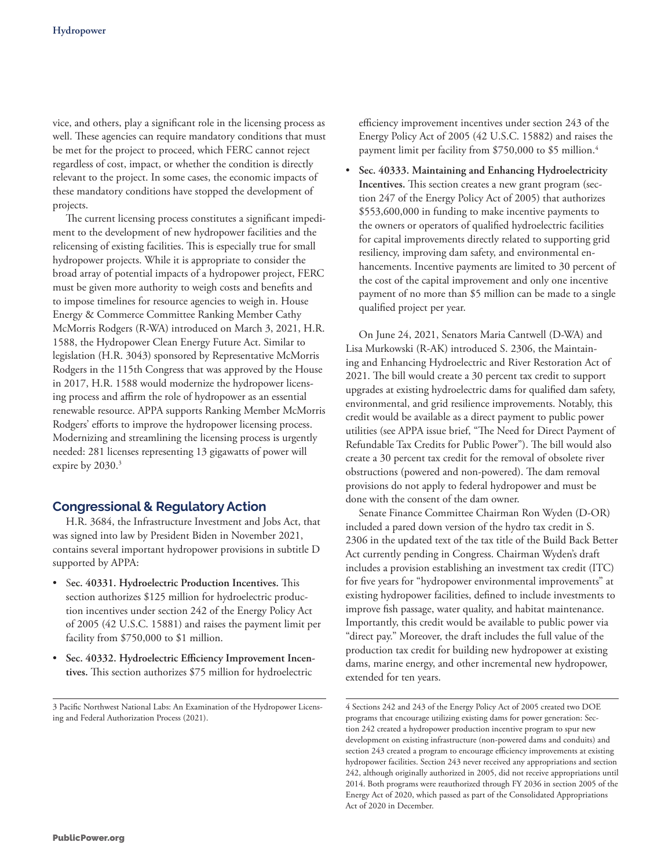vice, and others, play a significant role in the licensing process as well. These agencies can require mandatory conditions that must be met for the project to proceed, which FERC cannot reject regardless of cost, impact, or whether the condition is directly relevant to the project. In some cases, the economic impacts of these mandatory conditions have stopped the development of projects.

The current licensing process constitutes a significant impediment to the development of new hydropower facilities and the relicensing of existing facilities. This is especially true for small hydropower projects. While it is appropriate to consider the broad array of potential impacts of a hydropower project, FERC must be given more authority to weigh costs and benefits and to impose timelines for resource agencies to weigh in. House Energy & Commerce Committee Ranking Member Cathy McMorris Rodgers (R-WA) introduced on March 3, 2021, H.R. 1588, the Hydropower Clean Energy Future Act. Similar to legislation (H.R. 3043) sponsored by Representative McMorris Rodgers in the 115th Congress that was approved by the House in 2017, H.R. 1588 would modernize the hydropower licensing process and affirm the role of hydropower as an essential renewable resource. APPA supports Ranking Member McMorris Rodgers' efforts to improve the hydropower licensing process. Modernizing and streamlining the licensing process is urgently needed: 281 licenses representing 13 gigawatts of power will expire by 2030.<sup>3</sup>

#### **Congressional & Regulatory Action**

H.R. 3684, the Infrastructure Investment and Jobs Act, that was signed into law by President Biden in November 2021, contains several important hydropower provisions in subtitle D supported by APPA:

- S**ec. 40331. Hydroelectric Production Incentives.** This section authorizes \$125 million for hydroelectric production incentives under section 242 of the Energy Policy Act of 2005 (42 U.S.C. 15881) and raises the payment limit per facility from \$750,000 to \$1 million.
- **Sec. 40332. Hydroelectric Efficiency Improvement Incentives.** This section authorizes \$75 million for hydroelectric

3 Pacific Northwest National Labs: An Examination of the Hydropower Licensing and Federal Authorization Process (2021).

efficiency improvement incentives under section 243 of the Energy Policy Act of 2005 (42 U.S.C. 15882) and raises the payment limit per facility from \$750,000 to \$5 million.<sup>4</sup>

• **Sec. 40333. Maintaining and Enhancing Hydroelectricity Incentives.** This section creates a new grant program (section 247 of the Energy Policy Act of 2005) that authorizes \$553,600,000 in funding to make incentive payments to the owners or operators of qualified hydroelectric facilities for capital improvements directly related to supporting grid resiliency, improving dam safety, and environmental enhancements. Incentive payments are limited to 30 percent of the cost of the capital improvement and only one incentive payment of no more than \$5 million can be made to a single qualified project per year.

On June 24, 2021, Senators Maria Cantwell (D-WA) and Lisa Murkowski (R-AK) introduced S. 2306, the Maintaining and Enhancing Hydroelectric and River Restoration Act of 2021. The bill would create a 30 percent tax credit to support upgrades at existing hydroelectric dams for qualified dam safety, environmental, and grid resilience improvements. Notably, this credit would be available as a direct payment to public power utilities (see APPA issue brief, "The Need for Direct Payment of Refundable Tax Credits for Public Power"). The bill would also create a 30 percent tax credit for the removal of obsolete river obstructions (powered and non-powered). The dam removal provisions do not apply to federal hydropower and must be done with the consent of the dam owner.

Senate Finance Committee Chairman Ron Wyden (D-OR) included a pared down version of the hydro tax credit in S. 2306 in the updated text of the tax title of the Build Back Better Act currently pending in Congress. Chairman Wyden's draft includes a provision establishing an investment tax credit (ITC) for five years for "hydropower environmental improvements" at existing hydropower facilities, defined to include investments to improve fish passage, water quality, and habitat maintenance. Importantly, this credit would be available to public power via "direct pay." Moreover, the draft includes the full value of the production tax credit for building new hydropower at existing dams, marine energy, and other incremental new hydropower, extended for ten years.

<sup>4</sup> Sections 242 and 243 of the Energy Policy Act of 2005 created two DOE programs that encourage utilizing existing dams for power generation: Section 242 created a hydropower production incentive program to spur new development on existing infrastructure (non-powered dams and conduits) and section 243 created a program to encourage efficiency improvements at existing hydropower facilities. Section 243 never received any appropriations and section 242, although originally authorized in 2005, did not receive appropriations until 2014. Both programs were reauthorized through FY 2036 in section 2005 of the Energy Act of 2020, which passed as part of the Consolidated Appropriations Act of 2020 in December.